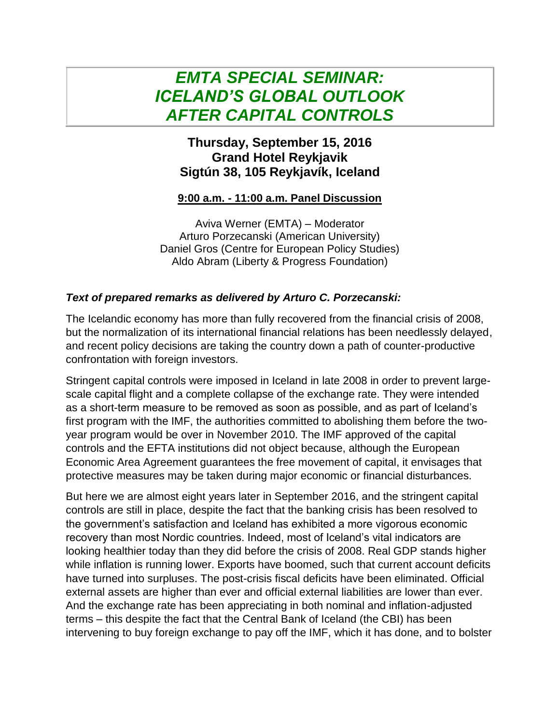## *EMTA SPECIAL SEMINAR: ICELAND'S GLOBAL OUTLOOK AFTER CAPITAL CONTROLS*

## **Thursday, September 15, 2016 Grand Hotel Reykjavik Sigtún 38, 105 Reykjavík, Iceland**

## **9:00 a.m. - 11:00 a.m. Panel Discussion**

Aviva Werner (EMTA) – Moderator Arturo Porzecanski (American University) Daniel Gros (Centre for European Policy Studies) Aldo Abram (Liberty & Progress Foundation)

## *Text of prepared remarks as delivered by Arturo C. Porzecanski:*

The Icelandic economy has more than fully recovered from the financial crisis of 2008, but the normalization of its international financial relations has been needlessly delayed, and recent policy decisions are taking the country down a path of counter-productive confrontation with foreign investors.

Stringent capital controls were imposed in Iceland in late 2008 in order to prevent largescale capital flight and a complete collapse of the exchange rate. They were intended as a short-term measure to be removed as soon as possible, and as part of Iceland's first program with the IMF, the authorities committed to abolishing them before the twoyear program would be over in November 2010. The IMF approved of the capital controls and the EFTA institutions did not object because, although the European Economic Area Agreement guarantees the free movement of capital, it envisages that protective measures may be taken during major economic or financial disturbances.

But here we are almost eight years later in September 2016, and the stringent capital controls are still in place, despite the fact that the banking crisis has been resolved to the government's satisfaction and Iceland has exhibited a more vigorous economic recovery than most Nordic countries. Indeed, most of Iceland's vital indicators are looking healthier today than they did before the crisis of 2008. Real GDP stands higher while inflation is running lower. Exports have boomed, such that current account deficits have turned into surpluses. The post-crisis fiscal deficits have been eliminated. Official external assets are higher than ever and official external liabilities are lower than ever. And the exchange rate has been appreciating in both nominal and inflation-adjusted terms – this despite the fact that the Central Bank of Iceland (the CBI) has been intervening to buy foreign exchange to pay off the IMF, which it has done, and to bolster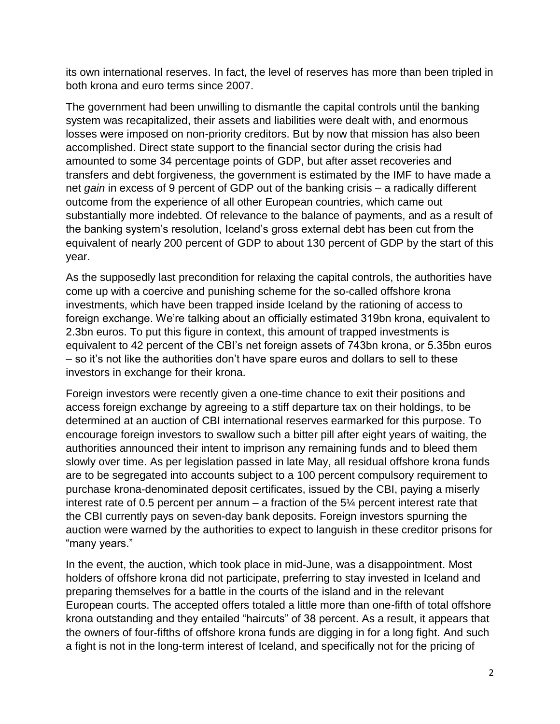its own international reserves. In fact, the level of reserves has more than been tripled in both krona and euro terms since 2007.

The government had been unwilling to dismantle the capital controls until the banking system was recapitalized, their assets and liabilities were dealt with, and enormous losses were imposed on non-priority creditors. But by now that mission has also been accomplished. Direct state support to the financial sector during the crisis had amounted to some 34 percentage points of GDP, but after asset recoveries and transfers and debt forgiveness, the government is estimated by the IMF to have made a net *gain* in excess of 9 percent of GDP out of the banking crisis – a radically different outcome from the experience of all other European countries, which came out substantially more indebted. Of relevance to the balance of payments, and as a result of the banking system's resolution, Iceland's gross external debt has been cut from the equivalent of nearly 200 percent of GDP to about 130 percent of GDP by the start of this year.

As the supposedly last precondition for relaxing the capital controls, the authorities have come up with a coercive and punishing scheme for the so-called offshore krona investments, which have been trapped inside Iceland by the rationing of access to foreign exchange. We're talking about an officially estimated 319bn krona, equivalent to 2.3bn euros. To put this figure in context, this amount of trapped investments is equivalent to 42 percent of the CBI's net foreign assets of 743bn krona, or 5.35bn euros – so it's not like the authorities don't have spare euros and dollars to sell to these investors in exchange for their krona.

Foreign investors were recently given a one-time chance to exit their positions and access foreign exchange by agreeing to a stiff departure tax on their holdings, to be determined at an auction of CBI international reserves earmarked for this purpose. To encourage foreign investors to swallow such a bitter pill after eight years of waiting, the authorities announced their intent to imprison any remaining funds and to bleed them slowly over time. As per legislation passed in late May, all residual offshore krona funds are to be segregated into accounts subject to a 100 percent compulsory requirement to purchase krona-denominated deposit certificates, issued by the CBI, paying a miserly interest rate of 0.5 percent per annum  $-$  a fraction of the 5 $\frac{1}{4}$  percent interest rate that the CBI currently pays on seven-day bank deposits. Foreign investors spurning the auction were warned by the authorities to expect to languish in these creditor prisons for "many years."

In the event, the auction, which took place in mid-June, was a disappointment. Most holders of offshore krona did not participate, preferring to stay invested in Iceland and preparing themselves for a battle in the courts of the island and in the relevant European courts. The accepted offers totaled a little more than one-fifth of total offshore krona outstanding and they entailed "haircuts" of 38 percent. As a result, it appears that the owners of four-fifths of offshore krona funds are digging in for a long fight. And such a fight is not in the long-term interest of Iceland, and specifically not for the pricing of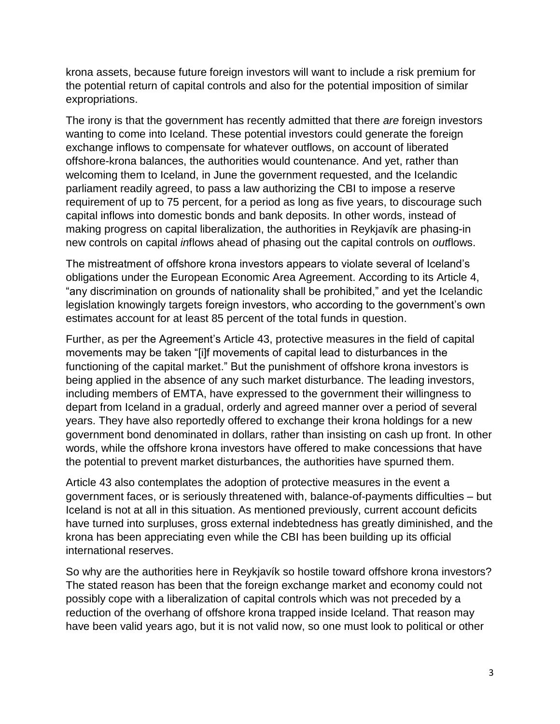krona assets, because future foreign investors will want to include a risk premium for the potential return of capital controls and also for the potential imposition of similar expropriations.

The irony is that the government has recently admitted that there *are* foreign investors wanting to come into Iceland. These potential investors could generate the foreign exchange inflows to compensate for whatever outflows, on account of liberated offshore-krona balances, the authorities would countenance. And yet, rather than welcoming them to Iceland, in June the government requested, and the Icelandic parliament readily agreed, to pass a law authorizing the CBI to impose a reserve requirement of up to 75 percent, for a period as long as five years, to discourage such capital inflows into domestic bonds and bank deposits. In other words, instead of making progress on capital liberalization, the authorities in Reykjavík are phasing-in new controls on capital *in*flows ahead of phasing out the capital controls on *out*flows.

The mistreatment of offshore krona investors appears to violate several of Iceland's obligations under the European Economic Area Agreement. According to its Article 4, "any discrimination on grounds of nationality shall be prohibited," and yet the Icelandic legislation knowingly targets foreign investors, who according to the government's own estimates account for at least 85 percent of the total funds in question.

Further, as per the Agreement's Article 43, protective measures in the field of capital movements may be taken "[i]f movements of capital lead to disturbances in the functioning of the capital market." But the punishment of offshore krona investors is being applied in the absence of any such market disturbance. The leading investors, including members of EMTA, have expressed to the government their willingness to depart from Iceland in a gradual, orderly and agreed manner over a period of several years. They have also reportedly offered to exchange their krona holdings for a new government bond denominated in dollars, rather than insisting on cash up front. In other words, while the offshore krona investors have offered to make concessions that have the potential to prevent market disturbances, the authorities have spurned them.

Article 43 also contemplates the adoption of protective measures in the event a government faces, or is seriously threatened with, balance-of-payments difficulties – but Iceland is not at all in this situation. As mentioned previously, current account deficits have turned into surpluses, gross external indebtedness has greatly diminished, and the krona has been appreciating even while the CBI has been building up its official international reserves.

So why are the authorities here in Reykjavík so hostile toward offshore krona investors? The stated reason has been that the foreign exchange market and economy could not possibly cope with a liberalization of capital controls which was not preceded by a reduction of the overhang of offshore krona trapped inside Iceland. That reason may have been valid years ago, but it is not valid now, so one must look to political or other